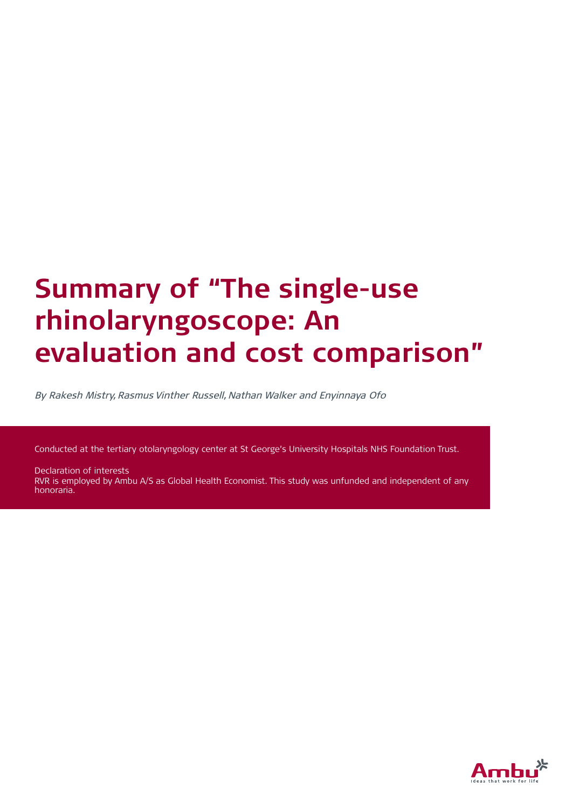# **Summary of "The single-use rhinolaryngoscope: An evaluation and cost comparison"**

By Rakesh Mistry, Rasmus Vinther Russell, Nathan Walker and Enyinnaya Ofo

Conducted at the tertiary otolaryngology center at St George's University Hospitals NHS Foundation Trust.

Declaration of interests RVR is employed by Ambu A/S as Global Health Economist. This study was unfunded and independent of any honoraria.

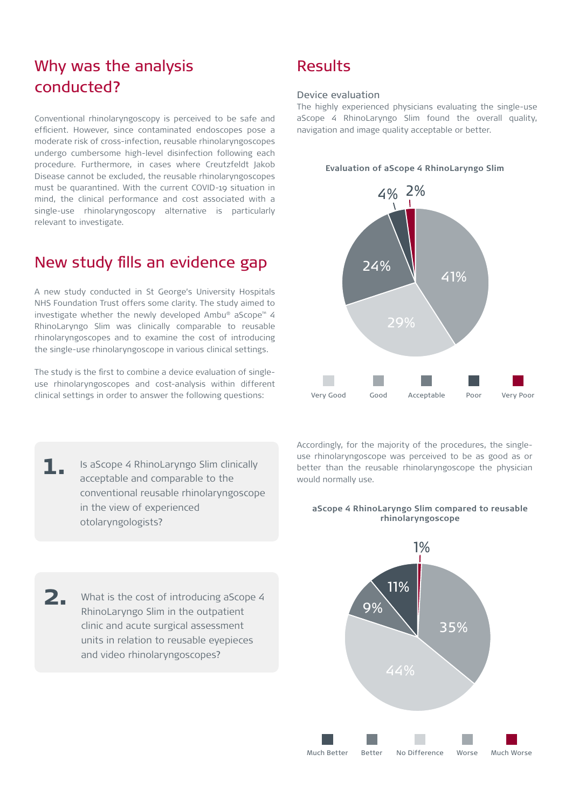## Why was the analysis conducted?

Conventional rhinolaryngoscopy is perceived to be safe and efficient. However, since contaminated endoscopes pose a moderate risk of cross-infection, reusable rhinolaryngoscopes undergo cumbersome high-level disinfection following each procedure. Furthermore, in cases where Creutzfeldt Jakob Disease cannot be excluded, the reusable rhinolaryngoscopes must be quarantined. With the current COVID-19 situation in mind, the clinical performance and cost associated with a single-use rhinolaryngoscopy alternative is particularly relevant to investigate.

### New study fills an evidence gap

A new study conducted in St George's University Hospitals NHS Foundation Trust offers some clarity. The study aimed to investigate whether the newly developed Ambu® aScope™ 4 RhinoLaryngo Slim was clinically comparable to reusable rhinolaryngoscopes and to examine the cost of introducing the single-use rhinolaryngoscope in various clinical settings.

The study is the first to combine a device evaluation of singleuse rhinolaryngoscopes and cost-analysis within different clinical settings in order to answer the following questions:

- Is aScope 4 RhinoLaryngo Slim clinically acceptable and comparable to the conventional reusable rhinolaryngoscope in the view of experienced otolaryngologists? **1.**
- What is the cost of introducing aScope 4 RhinoLaryngo Slim in the outpatient clinic and acute surgical assessment units in relation to reusable eyepieces and video rhinolaryngoscopes? **2.**

## Results

#### Device evaluation

The highly experienced physicians evaluating the single-use aScope 4 RhinoLaryngo Slim found the overall quality, navigation and image quality acceptable or better.

#### **Evaluation of aScope 4 RhinoLaryngo Slim**



Accordingly, for the majority of the procedures, the singleuse rhinolaryngoscope was perceived to be as good as or better than the reusable rhinolaryngoscope the physician would normally use.

#### **aScope 4 RhinoLaryngo Slim compared to reusable rhinolaryngoscope**

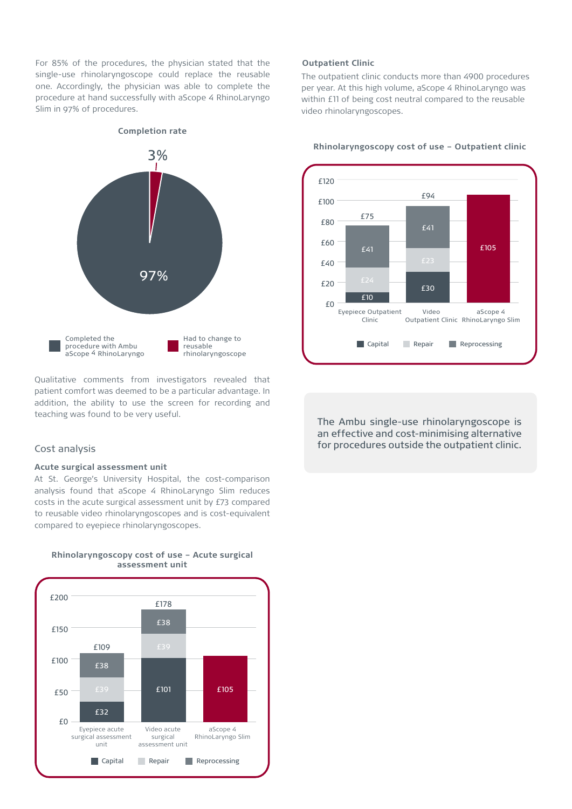For 85% of the procedures, the physician stated that the single-use rhinolaryngoscope could replace the reusable one. Accordingly, the physician was able to complete the procedure at hand successfully with aScope 4 RhinoLaryngo Slim in 97% of procedures.



Qualitative comments from investigators revealed that patient comfort was deemed to be a particular advantage. In addition, the ability to use the screen for recording and teaching was found to be very useful.

## e<br>Cost analysis

#### **Acute surgical assessment unit**

At St. George's University Hospital, the cost-comparison analysis found that aScope 4 RhinoLaryngo Slim reduces costs in the acute surgical assessment unit by £73 compared to reusable video rhinolaryngoscopes and is cost-equivalent compared to eyepiece rhinolaryngoscopes.



**Rhinolaryngoscopy cost of use - Acute surgical assessment unit**

#### **Outpatient Clinic**

The outpatient clinic conducts more than 4900 procedures per year. At this high volume, aScope 4 RhinoLaryngo was within £11 of being cost neutral compared to the reusable video rhinolaryngoscopes.



#### **Rhinolaryngoscopy cost of use - Outpatient clinic**

The Ambu single-use rhinolaryngoscope is an effective and cost-minimising alternative for procedures outside the outpatient clinic.